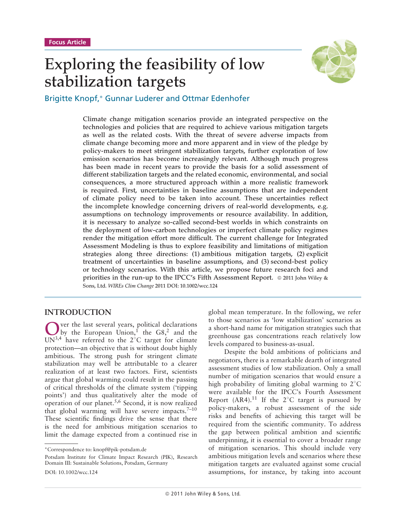# **Exploring the feasibility of low stabilization targets**



Brigitte Knopf,∗ Gunnar Luderer and Ottmar Edenhofer

**Climate change mitigation scenarios provide an integrated perspective on the technologies and policies that are required to achieve various mitigation targets as well as the related costs. With the threat of severe adverse impacts from climate change becoming more and more apparent and in view of the pledge by policy-makers to meet stringent stabilization targets, further exploration of low emission scenarios has become increasingly relevant. Although much progress has been made in recent years to provide the basis for a solid assessment of different stabilization targets and the related economic, environmental, and social consequences, a more structured approach within a more realistic framework is required. First, uncertainties in baseline assumptions that are independent of climate policy need to be taken into account. These uncertainties reflect the incomplete knowledge concerning drivers of real-world developments, e.g. assumptions on technology improvements or resource availability. In addition, it is necessary to analyze so-called second-best worlds in which constraints on the deployment of low-carbon technologies or imperfect climate policy regimes render the mitigation effort more difficult. The current challenge for Integrated Assessment Modeling is thus to explore feasibility and limitations of mitigation strategies along three directions: (1) ambitious mitigation targets, (2) explicit treatment of uncertainties in baseline assumptions, and (3) second-best policy or technology scenarios. With this article, we propose future research foci and priorities in the run-up to the IPCC's Fifth Assessment Report. 2011 John Wiley & Sons, Ltd.** *WIREs Clim Change* **2011 DOI: 10.1002/wcc.124**

# **INTRODUCTION**

Over the last several years, political declarations<br>by the European Union,<sup>1</sup> the G8,<sup>2</sup> and the<br>UNI<sup>34</sup> have referred to the 2<sup>9</sup>C target for elimits UN<sup>3,4</sup> have referred to the  $2^{\circ}$ C target for climate protection—an objective that is without doubt highly ambitious. The strong push for stringent climate stabilization may well be attributable to a clearer realization of at least two factors. First, scientists argue that global warming could result in the passing of critical thresholds of the climate system ('tipping points') and thus qualitatively alter the mode of operation of our planet.<sup>5,6</sup> Second, it is now realized that global warming will have severe impacts. $7-10$ These scientific findings drive the sense that there is the need for ambitious mitigation scenarios to limit the damage expected from a continued rise in

global mean temperature. In the following, we refer to those scenarios as 'low stabilization' scenarios as a short-hand name for mitigation strategies such that greenhouse gas concentrations reach relatively low levels compared to business-as-usual.

Despite the bold ambitions of politicians and negotiators, there is a remarkable dearth of integrated assessment studies of low stabilization. Only a small number of mitigation scenarios that would ensure a high probability of limiting global warming to 2◦ C were available for the IPCC's Fourth Assessment Report (AR4).<sup>11</sup> If the 2<sup>°</sup>C target is pursued by policy-makers, a robust assessment of the side risks and benefits of achieving this target will be required from the scientific community. To address the gap between political ambition and scientific underpinning, it is essential to cover a broader range of mitigation scenarios. This should include very ambitious mitigation levels and scenarios where these mitigation targets are evaluated against some crucial assumptions, for instance, by taking into account

<sup>∗</sup>Correspondence to: knopf@pik-potsdam.de

Potsdam Institute for Climate Impact Research (PIK), Research Domain III: Sustainable Solutions, Potsdam, Germany

DOI: 10.1002/wcc.124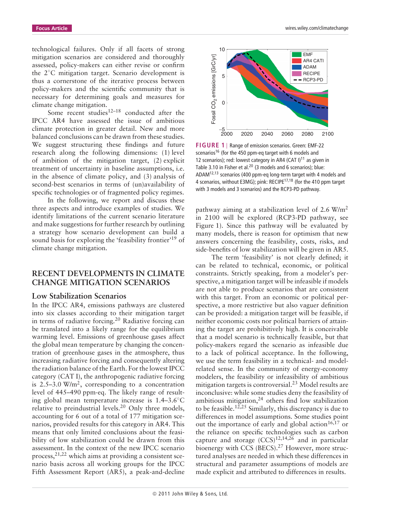technological failures. Only if all facets of strong mitigation scenarios are considered and thoroughly assessed, policy-makers can either revise or confirm the 2◦ C mitigation target. Scenario development is thus a cornerstone of the iterative process between policy-makers and the scientific community that is necessary for determining goals and measures for climate change mitigation.

Some recent studies $12-18$  conducted after the IPCC AR4 have assessed the issue of ambitious climate protection in greater detail. New and more balanced conclusions can be drawn from these studies. We suggest structuring these findings and future research along the following dimensions: (1) level of ambition of the mitigation target, (2) explicit treatment of uncertainty in baseline assumptions, i.e. in the absence of climate policy, and (3) analysis of second-best scenarios in terms of (un)availability of specific technologies or of fragmented policy regimes.

In the following, we report and discuss these three aspects and introduce examples of studies. We identify limitations of the current scenario literature and make suggestions for further research by outlining a strategy how scenario development can build a sound basis for exploring the 'feasibility frontier'<sup>19</sup> of climate change mitigation.

### **RECENT DEVELOPMENTS IN CLIMATE CHANGE MITIGATION SCENARIOS**

#### **Low Stabilization Scenarios**

In the IPCC AR4, emissions pathways are clustered into six classes according to their mitigation target in terms of radiative forcing.<sup>20</sup> Radiative forcing can be translated into a likely range for the equilibrium warming level. Emissions of greenhouse gases affect the global mean temperature by changing the concentration of greenhouse gases in the atmosphere, thus increasing radiative forcing and consequently altering the radiation balance of the Earth. For the lowest IPCC category (CAT I), the anthropogenic radiative forcing is  $2.5-3.0 \text{ W/m}^2$ , corresponding to a concentration level of 445–490 ppm-eq. The likely range of resulting global mean temperature increase is 1.4–3.6◦ C relative to preindustrial levels.<sup>20</sup> Only three models, accounting for 6 out of a total of 177 mitigation scenarios, provided results for this category in AR4. This means that only limited conclusions about the feasibility of low stabilization could be drawn from this assessment. In the context of the new IPCC scenario process, $2^{1,22}$  which aims at providing a consistent scenario basis across all working groups for the IPCC Fifth Assessment Report (AR5), a peak-and-decline



**FIGURE 1** | Range of emission scenarios. Green: EMF-22 scenarios<sup>16</sup> (for the 450 ppm-eq target with 6 models and 12 scenarios); red: lowest category in AR4 (CAT I)<sup>11</sup> as given in Table 3.10 in Fisher et al.<sup>20</sup> (3 models and 6 scenarios); blue: ADAM12,13 scenarios (400 ppm-eq long-term target with 4 models and 4 scenarios, without E3MG); pink: RECIPE<sup>17,18</sup> (for the 410 ppm target with 3 models and 3 scenarios) and the RCP3-PD pathway.

pathway aiming at a stabilization level of  $2.6 \text{ W/m}^2$ in 2100 will be explored (RCP3-PD pathway, see Figure 1). Since this pathway will be evaluated by many models, there is reason for optimism that new answers concerning the feasibility, costs, risks, and side-benefits of low stabilization will be given in AR5.

The term 'feasibility' is not clearly defined; it can be related to technical, economic, or political constraints. Strictly speaking, from a modeler's perspective, a mitigation target will be infeasible if models are not able to produce scenarios that are consistent with this target. From an economic or political perspective, a more restrictive but also vaguer definition can be provided: a mitigation target will be feasible, if neither economic costs nor political barriers of attaining the target are prohibitively high. It is conceivable that a model scenario is technically feasible, but that policy-makers regard the scenario as infeasible due to a lack of political acceptance. In the following, we use the term feasibility in a technical- and modelrelated sense. In the community of energy-economy modelers, the feasibility or infeasibility of ambitious mitigation targets is controversial.23 Model results are inconclusive: while some studies deny the feasibility of ambitious mitigation, $24$  others find low stabilization to be feasible.<sup>12,25</sup> Similarly, this discrepancy is due to differences in model assumptions. Some studies point out the importance of early and global action<sup>16,17</sup> or the reliance on specific technologies such as carbon capture and storage  $(CCS)^{12,14,26}$  and in particular bioenergy with CCS (BECS).<sup>27</sup> However, more structured analyses are needed in which these differences in structural and parameter assumptions of models are made explicit and attributed to differences in results.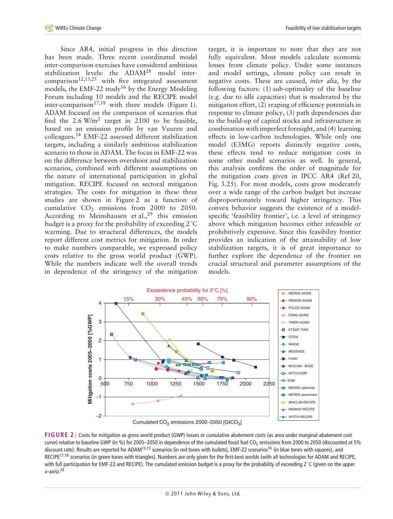Since AR4, initial progress in this direction has been made. Three recent coordinated model inter-comparison exercises have considered ambitious stabilization levels: the ADAM<sup>28</sup> model intercomparison<sup>12,13,25</sup> with five integrated assessment models, the EMF-22 study<sup>16</sup> by the Energy Modeling Forum including 10 models and the RECIPE model inter-comparison<sup>17,18</sup> with three models (Figure 1). ADAM focused on the comparison of scenarios that find the  $2.6 \text{ W/m}^2$  target in 2100 to be feasible, based on an emission profile by van Vuuren and colleagues.14 EMF-22 assessed different stabilization targets, including a similarly ambitious stabilization scenario to those in ADAM. The focus in EMF-22 was on the difference between overshoot and stabilization scenarios, combined with different assumptions on the nature of international participation in global mitigation. RECIPE focused on sectoral mitigation strategies. The costs for mitigation in these three studies are shown in Figure 2 as a function of cumulative  $CO<sub>2</sub>$  emissions from 2000 to 2050. According to Meinshausen et al., <sup>29</sup> this emission budget is a proxy for the probability of exceeding 2◦ C warming. Due to structural differences, the models report different cost metrics for mitigation. In order to make numbers comparable, we expressed policy costs relative to the gross world product (GWP). While the numbers indicate well the overall trends in dependence of the stringency of the mitigation target, it is important to note that they are not fully equivalent. Most models calculate economic losses from climate policy. Under some instances and model settings, climate policy can result in negative costs. These are caused, *inter alia*, by the following factors: (1) sub-optimality of the baseline (e.g. due to idle capacities) that is moderated by the mitigation effort, (2) reaping of efficiency potentials in response to climate policy, (3) path dependencies due to the build-up of capital stocks and infrastructure in combination with imperfect foresight, and (4) learning effects in low-carbon technologies. While only one model (E3MG) reports distinctly negative costs, these effects tend to reduce mitigation costs in some other model scenarios as well. In general, this analysis confirms the order of magnitude for the mitigation costs given in IPCC AR4 (Ref 20, Fig. 3.25). For most models, costs grow moderately over a wide range of the carbon budget but increase disproportionately toward higher stringency. This convex behavior suggests the existence of a modelspecific 'feasibility frontier', i.e. a level of stringency above which mitigation becomes either infeasible or prohibitively expensive. Since this feasibility frontier provides an indication of the attainability of low stabilization targets, it is of great importance to further explore the dependence of the frontier on crucial structural and parameter assumptions of the models.



Cumulated  $CO<sub>2</sub>$  emissions 2000–2050 [GtCO<sub>2</sub>]

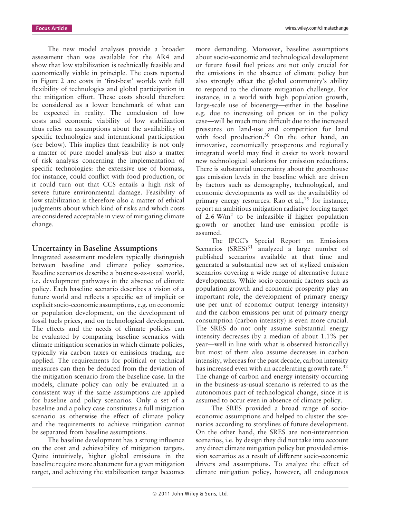The new model analyses provide a broader assessment than was available for the AR4 and show that low stabilization is technically feasible and economically viable in principle. The costs reported in Figure 2 are costs in 'first-best' worlds with full flexibility of technologies and global participation in the mitigation effort. These costs should therefore be considered as a lower benchmark of what can be expected in reality. The conclusion of low costs and economic viability of low stabilization thus relies on assumptions about the availability of specific technologies and international participation (see below). This implies that feasibility is not only a matter of pure model analysis but also a matter of risk analysis concerning the implementation of specific technologies: the extensive use of biomass, for instance, could conflict with food production, or it could turn out that CCS entails a high risk of severe future environmental damage. Feasibility of low stabilization is therefore also a matter of ethical judgments about which kind of risks and which costs are considered acceptable in view of mitigating climate change.

#### **Uncertainty in Baseline Assumptions**

Integrated assessment modelers typically distinguish between baseline and climate policy scenarios. Baseline scenarios describe a business-as-usual world, i.e. development pathways in the absence of climate policy. Each baseline scenario describes a vision of a future world and reflects a specific set of implicit or explicit socio-economic assumptions, e.g. on economic or population development, on the development of fossil fuels prices, and on technological development. The effects and the needs of climate policies can be evaluated by comparing baseline scenarios with climate mitigation scenarios in which climate policies, typically via carbon taxes or emissions trading, are applied. The requirements for political or technical measures can then be deduced from the deviation of the mitigation scenario from the baseline case. In the models, climate policy can only be evaluated in a consistent way if the same assumptions are applied for baseline and policy scenarios. Only a set of a baseline and a policy case constitutes a full mitigation scenario as otherwise the effect of climate policy and the requirements to achieve mitigation cannot be separated from baseline assumptions.

The baseline development has a strong influence on the cost and achievability of mitigation targets. Quite intuitively, higher global emissions in the baseline require more abatement for a given mitigation target, and achieving the stabilization target becomes more demanding. Moreover, baseline assumptions about socio-economic and technological development or future fossil fuel prices are not only crucial for the emissions in the absence of climate policy but also strongly affect the global community's ability to respond to the climate mitigation challenge. For instance, in a world with high population growth, large-scale use of bioenergy—either in the baseline e.g. due to increasing oil prices or in the policy case—will be much more difficult due to the increased pressures on land-use and competition for land with food production.<sup>30</sup> On the other hand, an innovative, economically prosperous and regionally integrated world may find it easier to work toward new technological solutions for emission reductions. There is substantial uncertainty about the greenhouse gas emission levels in the baseline which are driven by factors such as demography, technological, and economic developments as well as the availability of primary energy resources. Rao et al.,<sup>15</sup> for instance, report an ambitious mitigation radiative forcing target of 2.6  $W/m^2$  to be infeasible if higher population growth or another land-use emission profile is assumed.

The IPCC's Special Report on Emissions Scenarios  $(SRES)^{31}$  analyzed a large number of published scenarios available at that time and generated a substantial new set of stylized emission scenarios covering a wide range of alternative future developments. While socio-economic factors such as population growth and economic prosperity play an important role, the development of primary energy use per unit of economic output (energy intensity) and the carbon emissions per unit of primary energy consumption (carbon intensity) is even more crucial. The SRES do not only assume substantial energy intensity decreases (by a median of about 1.1% per year—well in line with what is observed historically) but most of them also assume decreases in carbon intensity, whereas for the past decade, carbon intensity has increased even with an accelerating growth rate.<sup>32</sup> The change of carbon and energy intensity occurring in the business-as-usual scenario is referred to as the autonomous part of technological change, since it is assumed to occur even in absence of climate policy.

The SRES provided a broad range of socioeconomic assumptions and helped to cluster the scenarios according to storylines of future development. On the other hand, the SRES are non-intervention scenarios, i.e. by design they did not take into account any direct climate mitigation policy but provided emission scenarios as a result of different socio-economic drivers and assumptions. To analyze the effect of climate mitigation policy, however, all endogenous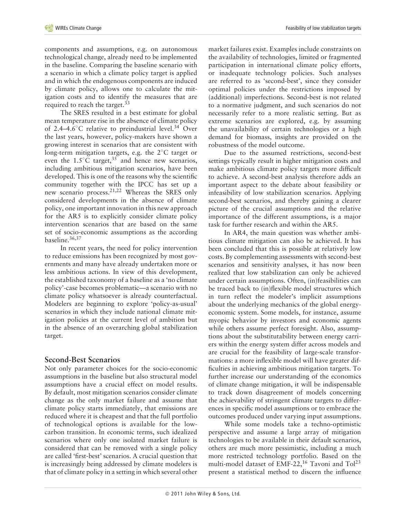components and assumptions, e.g. on autonomous technological change, already need to be implemented in the baseline. Comparing the baseline scenario with a scenario in which a climate policy target is applied and in which the endogenous components are induced by climate policy, allows one to calculate the mitigation costs and to identify the measures that are required to reach the target.<sup>33</sup>

The SRES resulted in a best estimate for global mean temperature rise in the absence of climate policy of 2.4–4.6℃ relative to preindustrial level.<sup>34</sup> Over the last years, however, policy-makers have shown a growing interest in scenarios that are consistent with long-term mitigation targets, e.g. the 2◦ C target or even the 1.5 $\mathrm{^{\circ}C}$  target,<sup>35</sup> and hence new scenarios, including ambitious mitigation scenarios, have been developed. This is one of the reasons why the scientific community together with the IPCC has set up a new scenario process.<sup>21,22</sup> Whereas the SRES only considered developments in the absence of climate policy, one important innovation in this new approach for the AR5 is to explicitly consider climate policy intervention scenarios that are based on the same set of socio-economic assumptions as the according baseline.36,37

In recent years, the need for policy intervention to reduce emissions has been recognized by most governments and many have already undertaken more or less ambitious actions. In view of this development, the established taxonomy of a baseline as a 'no climate policy'-case becomes problematic—a scenario with no climate policy whatsoever is already counterfactual. Modelers are beginning to explore 'policy-as-usual' scenarios in which they include national climate mitigation policies at the current level of ambition but in the absence of an overarching global stabilization target.

# **Second-Best Scenarios**

Not only parameter choices for the socio-economic assumptions in the baseline but also structural model assumptions have a crucial effect on model results. By default, most mitigation scenarios consider climate change as the only market failure and assume that climate policy starts immediately, that emissions are reduced where it is cheapest and that the full portfolio of technological options is available for the lowcarbon transition. In economic terms, such idealized scenarios where only one isolated market failure is considered that can be removed with a single policy are called 'first-best' scenarios. A crucial question that is increasingly being addressed by climate modelers is that of climate policy in a setting in which several other

market failures exist. Examples include constraints on the availability of technologies, limited or fragmented participation in international climate policy efforts, or inadequate technology policies. Such analyses are referred to as 'second-best', since they consider optimal policies under the restrictions imposed by (additional) imperfections. Second-best is not related to a normative judgment, and such scenarios do not necessarily refer to a more realistic setting. But as extreme scenarios are explored, e.g. by assuming the unavailability of certain technologies or a high demand for biomass, insights are provided on the robustness of the model outcome.

Due to the assumed restrictions, second-best settings typically result in higher mitigation costs and make ambitious climate policy targets more difficult to achieve. A second-best analysis therefore adds an important aspect to the debate about feasibility or infeasibility of low stabilization scenarios. Applying second-best scenarios, and thereby gaining a clearer picture of the crucial assumptions and the relative importance of the different assumptions, is a major task for further research and within the AR5.

In AR4, the main question was whether ambitious climate mitigation can also be achieved. It has been concluded that this is possible at relatively low costs. By complementing assessments with second-best scenarios and sensitivity analyses, it has now been realized that low stabilization can only be achieved under certain assumptions. Often, (in)feasibilities can be traced back to (in)flexible model structures which in turn reflect the modeler's implicit assumptions about the underlying mechanics of the global energyeconomic system. Some models, for instance, assume myopic behavior by investors and economic agents while others assume perfect foresight. Also, assumptions about the substitutability between energy carriers within the energy system differ across models and are crucial for the feasibility of large-scale transformations: a more inflexible model will have greater difficulties in achieving ambitious mitigation targets. To further increase our understanding of the economics of climate change mitigation, it will be indispensable to track down disagreement of models concerning the achievability of stringent climate targets to differences in specific model assumptions or to embrace the outcomes produced under varying input assumptions.

While some models take a techno-optimistic perspective and assume a large array of mitigation technologies to be available in their default scenarios, others are much more pessimistic, including a much more restricted technology portfolio. Based on the multi-model dataset of EMF-22,<sup>16</sup> Tavoni and Tol<sup>23</sup> present a statistical method to discern the influence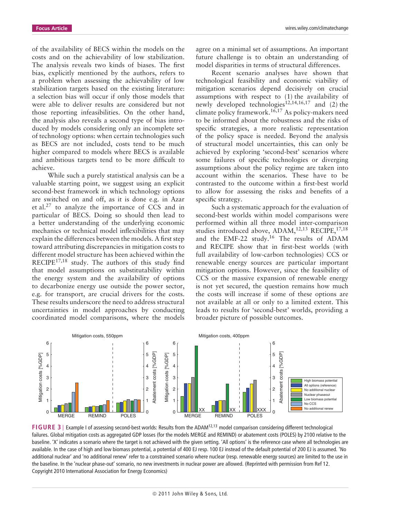of the availability of BECS within the models on the costs and on the achievability of low stabilization. The analysis reveals two kinds of biases. The first bias, explicitly mentioned by the authors, refers to a problem when assessing the achievability of low stabilization targets based on the existing literature: a selection bias will occur if only those models that were able to deliver results are considered but not those reporting infeasibilities. On the other hand, the analysis also reveals a second type of bias introduced by models considering only an incomplete set of technology options: when certain technologies such as BECS are not included, costs tend to be much higher compared to models where BECS is available and ambitious targets tend to be more difficult to achieve.

While such a purely statistical analysis can be a valuable starting point, we suggest using an explicit second-best framework in which technology options are switched on and off, as it is done e.g. in Azar et al.27 to analyze the importance of CCS and in particular of BECS. Doing so should then lead to a better understanding of the underlying economic mechanics or technical model inflexibilities that may explain the differences between the models. A first step toward attributing discrepancies in mitigation costs to different model structure has been achieved within the RECIPE<sup>17,18</sup> study. The authors of this study find that model assumptions on substitutability within the energy system and the availability of options to decarbonize energy use outside the power sector, e.g. for transport, are crucial drivers for the costs. These results underscore the need to address structural uncertainties in model approaches by conducting coordinated model comparisons, where the models agree on a minimal set of assumptions. An important future challenge is to obtain an understanding of model disparities in terms of structural differences.

Recent scenario analyses have shown that technological feasibility and economic viability of mitigation scenarios depend decisively on crucial assumptions with respect to (1) the availability of newly developed technologies<sup>12,14,16,17</sup> and (2) the climate policy framework.<sup>16,17</sup> As policy-makers need to be informed about the robustness and the risks of specific strategies, a more realistic representation of the policy space is needed. Beyond the analysis of structural model uncertainties, this can only be achieved by exploring 'second-best' scenarios where some failures of specific technologies or diverging assumptions about the policy regime are taken into account within the scenarios. These have to be contrasted to the outcome within a first-best world to allow for assessing the risks and benefits of a specific strategy.

Such a systematic approach for the evaluation of second-best worlds within model comparisons were performed within all three model inter-comparison studies introduced above, ADAM,  $12,13$  RECIPE,  $17,18$ and the EMF-22 study.16 The results of ADAM and RECIPE show that in first-best worlds (with full availability of low-carbon technologies) CCS or renewable energy sources are particular important mitigation options. However, since the feasibility of CCS or the massive expansion of renewable energy is not yet secured, the question remains how much the costs will increase if some of these options are not available at all or only to a limited extent. This leads to results for 'second-best' worlds, providing a broader picture of possible outcomes.



**FIGURE 3** | Example I of assessing second-best worlds: Results from the ADAM12,13 model comparison considering different technological failures. Global mitigation costs as aggregated GDP losses (for the models MERGE and REMIND) or abatement costs (POLES) by 2100 relative to the baseline. 'X' indicates a scenario where the target is not achieved with the given setting. 'All options' is the reference case where all technologies are available. In the case of high and low biomass potential, a potential of 400 EJ resp. 100 EJ instead of the default potential of 200 EJ is assumed. 'No additional nuclear' and 'no additional renew' refer to a constrained scenario where nuclear (resp. renewable energy sources) are limited to the use in the baseline. In the 'nuclear phase-out' scenario, no new investments in nuclear power are allowed. (Reprinted with permission from Ref 12. Copyright 2010 International Association for Energy Economics)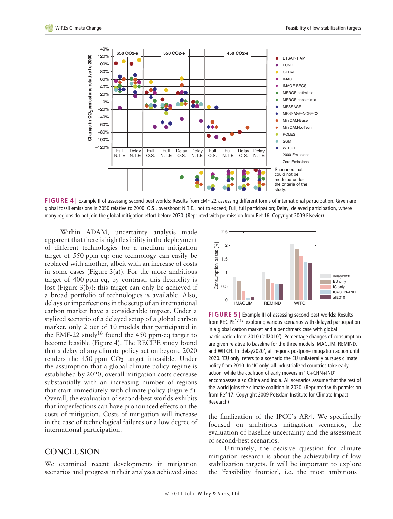

**FIGURE 4** | Example II of assessing second-best worlds: Results from EMF-22 assessing different forms of international participation. Given are global fossil emissions in 2050 relative to 2000. O.S., overshoot; N.T.E., not to exceed; Full, full participation; Delay, delayed participation, where many regions do not join the global mitigation effort before 2030. (Reprinted with permission from Ref 16. Copyright 2009 Elsevier)

Within ADAM, uncertainty analysis made apparent that there is high flexibility in the deployment of different technologies for a medium mitigation target of 550 ppm-eq: one technology can easily be replaced with another, albeit with an increase of costs in some cases (Figure  $3(a)$ ). For the more ambitious target of 400 ppm-eq, by contrast, this flexibility is lost (Figure 3(b)): this target can only be achieved if a broad portfolio of technologies is available. Also, delays or imperfections in the setup of an international carbon market have a considerable impact. Under a stylized scenario of a delayed setup of a global carbon market, only 2 out of 10 models that participated in the EMF-22 study<sup>16</sup> found the 450 ppm-eq target to become feasible (Figure 4). The RECIPE study found that a delay of any climate policy action beyond 2020 renders the  $450$  ppm  $CO<sub>2</sub>$  target infeasible. Under the assumption that a global climate policy regime is established by 2020, overall mitigation costs decrease substantially with an increasing number of regions that start immediately with climate policy (Figure 5). Overall, the evaluation of second-best worlds exhibits that imperfections can have pronounced effects on the costs of mitigation. Costs of mitigation will increase in the case of technological failures or a low degree of international participation.

# **CONCLUSION**

We examined recent developments in mitigation scenarios and progress in their analyses achieved since



**FIGURE 5** | Example III of assessing second-best worlds: Results from RECIPE $17,18$  exploring various scenarios with delayed participation in a global carbon market and a benchmark case with global participation from 2010 ('all2010'). Percentage changes of consumption are given relative to baseline for the three models IMACLIM, REMIND, and WITCH. In 'delay2020', all regions postpone mitigation action until 2020. 'EU only' refers to a scenario the EU unilaterally pursues climate policy from 2010. In 'IC only' all industrialized countries take early action, while the coalition of early movers in 'IC+CHN+IND' encompasses also China and India. All scenarios assume that the rest of the world joins the climate coalition in 2020. (Reprinted with permission from Ref 17. Copyright 2009 Potsdam Institute for Climate Impact Research)

the finalization of the IPCC's AR4. We specifically focused on ambitious mitigation scenarios, the evaluation of baseline uncertainty and the assessment of second-best scenarios.

Ultimately, the decisive question for climate mitigation research is about the achievability of low stabilization targets. It will be important to explore the 'feasibility frontier', i.e. the most ambitious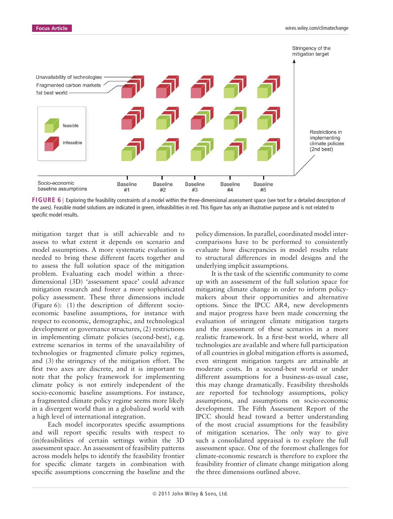

**FIGURE 6** | Exploring the feasibility constraints of a model within the three-dimensional assessment space (see text for a detailed description of the axes). Feasible model solutions are indicated in green, infeasibilities in red. This figure has only an illustrative purpose and is not related to specific model results.

mitigation target that is still achievable and to assess to what extent it depends on scenario and model assumptions. A more systematic evaluation is needed to bring these different facets together and to assess the full solution space of the mitigation problem. Evaluating each model within a threedimensional (3D) 'assessment space' could advance mitigation research and foster a more sophisticated policy assessment. These three dimensions include (Figure 6): (1) the description of different socioeconomic baseline assumptions, for instance with respect to economic, demographic, and technological development or governance structures, (2) restrictions in implementing climate policies (second-best), e.g. extreme scenarios in terms of the unavailability of technologies or fragmented climate policy regimes, and (3) the stringency of the mitigation effort. The first two axes are discrete, and it is important to note that the policy framework for implementing climate policy is not entirely independent of the socio-economic baseline assumptions. For instance, a fragmented climate policy regime seems more likely in a divergent world than in a globalized world with a high level of international integration.

Each model incorporates specific assumptions and will report specific results with respect to (in)feasibilities of certain settings within the 3D assessment space. An assessment of feasibility patterns across models helps to identify the feasibility frontier for specific climate targets in combination with specific assumptions concerning the baseline and the policy dimension. In parallel, coordinated model intercomparisons have to be performed to consistently evaluate how discrepancies in model results relate to structural differences in model designs and the underlying implicit assumptions.

It is the task of the scientific community to come up with an assessment of the full solution space for mitigating climate change in order to inform policymakers about their opportunities and alternative options. Since the IPCC AR4, new developments and major progress have been made concerning the evaluation of stringent climate mitigation targets and the assessment of these scenarios in a more realistic framework. In a first-best world, where all technologies are available and where full participation of all countries in global mitigation efforts is assumed, even stringent mitigation targets are attainable at moderate costs. In a second-best world or under different assumptions for a business-as-usual case, this may change dramatically. Feasibility thresholds are reported for technology assumptions, policy assumptions, and assumptions on socio-economic development. The Fifth Assessment Report of the IPCC should head toward a better understanding of the most crucial assumptions for the feasibility of mitigation scenarios. The only way to give such a consolidated appraisal is to explore the full assessment space. One of the foremost challenges for climate-economic research is therefore to explore the feasibility frontier of climate change mitigation along the three dimensions outlined above.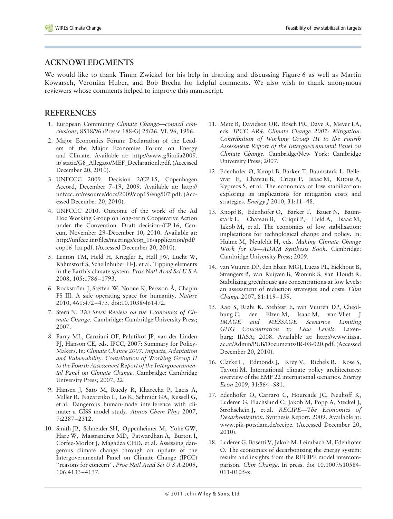# **ACKNOWLEDGMENTS**

We would like to thank Timm Zwickel for his help in drafting and discussing Figure 6 as well as Martin Kowarsch, Veronika Huber, and Bob Brecha for helpful comments. We also wish to thank anonymous reviewers whose comments helped to improve this manuscript.

# **REFERENCES**

- 1. European Community *Climate Change—council conclusions*, 8518/96 (Presse 188-G) 25/26. VI. 96, 1996.
- 2. Major Economics Forum: Declaration of the Leaders of the Major Economies Forum on Energy and Climate. Available at: http://www.g8italia2009. it/ static/G8\_Allegato/MEF\_Declarationl.pdf. (Accessed December 20, 2010).
- 3. UNFCCC 2009. Decision 2/CP.15, Copenhagen Accord, December 7–19, 2009. Available at: http:// unfccc.int/resource/docs/2009/cop15/eng/l07.pdf. (Accessed December 20, 2010).
- 4. UNFCCC 2010. Outcome of the work of the Ad Hoc Working Group on long-term Cooperative Action under the Convention. Draft decision-/CP.16, Cancun, November 29–December 10, 2010. Available at: http://unfccc.int/files/meetings/cop\_16/application/pdf/ cop16\_lca.pdf. (Accessed December 20, 2010).
- 5. Lenton TM, Held H, Kriegler E, Hall JW, Lucht W, Rahmstorf S, Schellnhuber H-J. et al. Tipping elements in the Earth's climate system. *Proc Natl Acad Sci U S A* 2008, 105:1786–1793.
- 6. Rockström J, Steffen W, Noone K, Persson Å, Chapin FS III. A safe operating space for humanity. *Nature* 2010, 461:472–475. doi:10.1038/461472.
- 7. Stern N. *The Stern Review on the Economics of Climate Change.* Cambridge: Cambridge University Press; 2007.
- 8. Parry ML, Canziani OF, Palutikof JP, van der Linden PJ, Hanson CE, eds. IPCC, 2007: Summary for Policy-Makers. In: *Climate Change 2007: Impacts, Adaptation and Vulnerability. Contribution of Working Group II to the Fourth Assessment Report of the Intergovernmental Panel on Climate Change.* Cambridge: Cambridge University Press; 2007, 22.
- 9. Hansen J, Sato M, Ruedy R, Kharecha P, Lacis A, Miller R, Nazarenko L, Lo K, Schmidt GA, Russell G, et al. Dangerous human-made interference with climate: a GISS model study. *Atmos Chem Phys* 2007, 7:2287–2312.
- 10. Smith JB, Schneider SH, Oppenheimer M, Yohe GW, Hare W, Mastrandrea MD, Patwardhan A, Burton I, Corfee-Morlot J, Magadza CHD, et al. Assessing dangerous climate change through an update of the Intergovernmental Panel on Climate Change (IPCC) ''reasons for concern''. *Proc Natl Acad Sci U S A* 2009, 106:4133–4137.
- 11. Metz B, Davidson OR, Bosch PR, Dave R, Meyer LA, eds. *IPCC AR4. Climate Change 2007: Mitigation. Contribution of Working Group III to the Fourth Assessment Report of the Intergovernmental Panel on Climate Change.* Cambridge/New York: Cambridge University Press; 2007.
- 12. Edenhofer O, Knopf B, Barker T, Baumstark L, Bellevrat E, Chateau B, Criqui P, Isaac M, Kitous A, Kypreos S, et al. The economics of low stabilization: exploring its implications for mitigation costs and strategies. *Energy J* 2010, 31:11–48.
- 13. Knopf B, Edenhofer O, Barker T, Bauer N, Baumstark L, Chateau B, Criqui P, Held A, Isaac M, Jakob M, et al. The economics of low stabilisation: implications for technological change and policy. In: Hulme M, Neufeldt H, eds. *Making Climate Change Work for Us—ADAM Synthesis Book.* Cambridge: Cambridge University Press; 2009.
- 14. van Vuuren DP, den Elzen MGJ, Lucas PL, Eickhout B, Strengers B, van Ruijven B, Wonink S, van Houdt R. Stabilizing greenhouse gas concentrations at low levels: an assessment of reduction strategies and costs. *Clim Change* 2007, 81:119–159.
- 15. Rao S, Riahi K, Stehfest E, van Vuuren DP, Cheolhung C, den Elzen M, Isaac M, van Vliet J *IMAGE and MESSAGE Scenarios Limiting GHG Concentration to Low Levels*. Laxenburg: IIASA; 2008. Available at: http://www.iiasa. ac.at/Admin/PUB/Documents/IR-08-020.pdf. (Accessed December 20, 2010).
- 16. Clarke L, Edmonds J, Krey V, Richels R, Rose S, Tavoni M. International climate policy architectures: overview of the EMF 22 international scenarios. *Energy Econ* 2009, 31:S64–S81.
- 17. Edenhofer O, Carraro C, Hourcade JC, Neuhoff K, Luderer G, Flachsland C, Jakob M, Popp A, Steckel J, Strohschein J, et al. *RECIPE—The Economics of Decarbonization*. Synthesis Report; 2009. Available at: www.pik-potsdam.de/recipe. (Accessed December 20, 2010).
- 18. Luderer G, Bosetti V, Jakob M, Leimbach M, Edenhofer O. The economics of decarbonizing the energy system: results and insights from the RECIPE model intercomparison. *Clim Change.* In press. doi 10.1007/s10584- 011-0105-x.